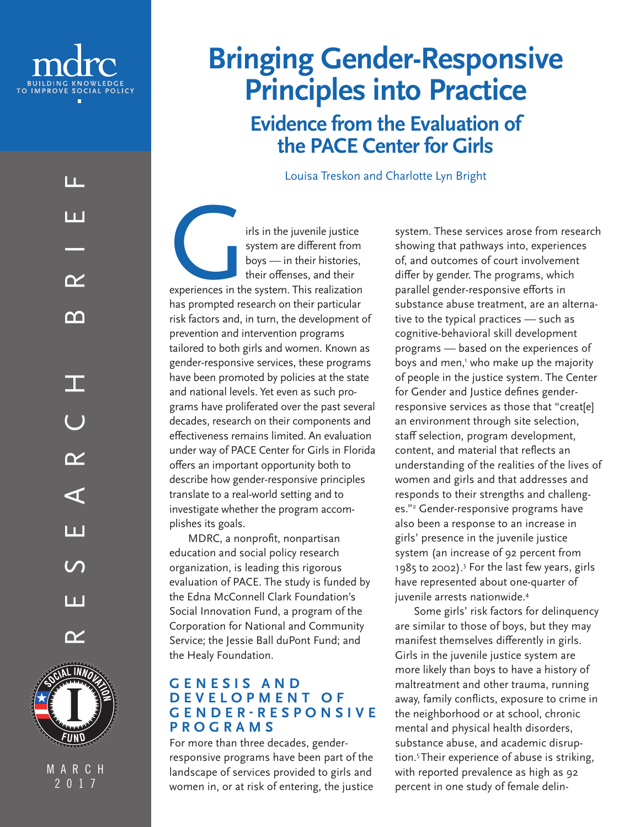

П.

n I

 $\boldsymbol{\gamma}$ 

m

RESEARCH BRIEF

 $\boldsymbol{\alpha}$ 

 $\blacktriangleleft$ 

n I

Ш

 $\boldsymbol{\gamma}$ 

T

M A R C H 2017

# **Bringing Gender-Responsive Principles into Practice**

**Evidence from the Evaluation of the PACE Center for Girls**

Louisa Treskon and Charlotte Lyn Bright

It's in the juvenile justice<br>system are different from<br>boys — in their histories,<br>their offenses, and their<br>experiences in the system. This realization<br>has reprended records on their particular system are different from boys — in their histories, their offenses, and their experiences in the system. This realization has prompted research on their particular risk factors and, in turn, the development of prevention and intervention programs tailored to both girls and women. Known as gender-responsive services, these programs have been promoted by policies at the state and national levels. Yet even as such programs have proliferated over the past several decades, research on their components and effectiveness remains limited. An evaluation under way of PACE Center for Girls in Florida offers an important opportunity both to describe how gender-responsive principles translate to a real-world setting and to investigate whether the program accomplishes its goals.

MDRC, a nonprofit, nonpartisan education and social policy research organization, is leading this rigorous evaluation of PACE. The study is funded by the Edna McConnell Clark Foundation's Social Innovation Fund, a program of the Corporation for National and Community Service; the Jessie Ball duPont Fund; and the Healy Foundation.

#### **G E N E S I S A N D D E V E L O P M E N T O F G E N D E R - R E S P O N S I V E PROGRAMS**

For more than three decades, genderresponsive programs have been part of the landscape of services provided to girls and women in, or at risk of entering, the justice

system. These services arose from research showing that pathways into, experiences of, and outcomes of court involvement differ by gender. The programs, which parallel gender-responsive efforts in substance abuse treatment, are an alternative to the typical practices — such as cognitive-behavioral skill development programs — based on the experiences of boys and men,' who make up the majority of people in the justice system. The Center for Gender and Justice defines genderresponsive services as those that "creat[e] an environment through site selection, staff selection, program development, content, and material that reflects an understanding of the realities of the lives of women and girls and that addresses and responds to their strengths and challenges."2 Gender-responsive programs have also been a response to an increase in girls' presence in the juvenile justice system (an increase of 92 percent from 1985 to 2002).3 For the last few years, girls have represented about one-quarter of juvenile arrests nationwide.4

Some girls' risk factors for delinquency are similar to those of boys, but they may manifest themselves differently in girls. Girls in the juvenile justice system are more likely than boys to have a history of maltreatment and other trauma, running away, family conflicts, exposure to crime in the neighborhood or at school, chronic mental and physical health disorders, substance abuse, and academic disruption.5 Their experience of abuse is striking, with reported prevalence as high as 92 percent in one study of female delin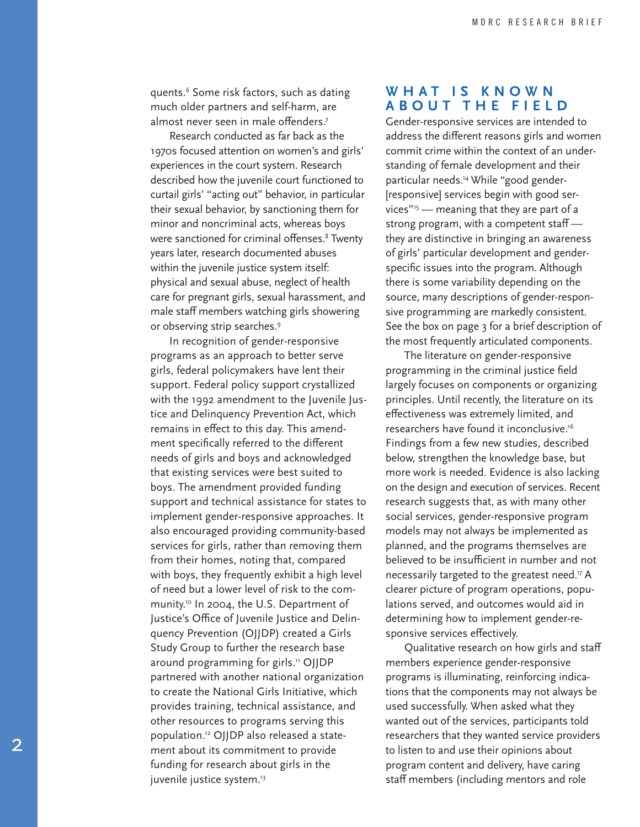quents.6 Some risk factors, such as dating much older partners and self-harm, are almost never seen in male offenders.<sup>7</sup>

Research conducted as far back as the 1970s focused attention on women's and girls' experiences in the court system. Research described how the juvenile court functioned to curtail girls' "acting out" behavior, in particular their sexual behavior, by sanctioning them for minor and noncriminal acts, whereas boys were sanctioned for criminal offenses.<sup>8</sup> Twenty years later, research documented abuses within the juvenile justice system itself: physical and sexual abuse, neglect of health care for pregnant girls, sexual harassment, and male staff members watching girls showering or observing strip searches.<sup>9</sup>

In recognition of gender-responsive programs as an approach to better serve girls, federal policymakers have lent their support. Federal policy support crystallized with the 1992 amendment to the Juvenile Justice and Delinquency Prevention Act, which remains in effect to this day. This amendment specifically referred to the different needs of girls and boys and acknowledged that existing services were best suited to boys. The amendment provided funding support and technical assistance for states to implement gender-responsive approaches. It also encouraged providing community-based services for girls, rather than removing them from their homes, noting that, compared with boys, they frequently exhibit a high level of need but a lower level of risk to the community.<sup>10</sup> In 2004, the U.S. Department of Justice's Office of Juvenile Justice and Delinquency Prevention (OJJDP) created a Girls Study Group to further the research base around programming for girls.<sup>11</sup> OJJDP partnered with another national organization to create the National Girls Initiative, which provides training, technical assistance, and other resources to programs serving this population.12 OJJDP also released a statement about its commitment to provide funding for research about girls in the juvenile justice system.<sup>13</sup>

#### **W H A T I S K N O W N ABOUT THE FIELD**

Gender-responsive services are intended to address the different reasons girls and women commit crime within the context of an understanding of female development and their particular needs.14 While "good gender- [responsive] services begin with good services"15 — meaning that they are part of a strong program, with a competent staffthey are distinctive in bringing an awareness of girls' particular development and genderspecific issues into the program. Although there is some variability depending on the source, many descriptions of gender-responsive programming are markedly consistent. See the box on page 3 for a brief description of the most frequently articulated components.

The literature on gender-responsive programming in the criminal justice field largely focuses on components or organizing principles. Until recently, the literature on its effectiveness was extremely limited, and researchers have found it inconclusive.16 Findings from a few new studies, described below, strengthen the knowledge base, but more work is needed. Evidence is also lacking on the design and execution of services. Recent research suggests that, as with many other social services, gender-responsive program models may not always be implemented as planned, and the programs themselves are believed to be insufficient in number and not necessarily targeted to the greatest need.<sup>17</sup> A clearer picture of program operations, populations served, and outcomes would aid in determining how to implement gender-responsive services effectively.

Qualitative research on how girls and staff members experience gender-responsive programs is illuminating, reinforcing indications that the components may not always be used successfully. When asked what they wanted out of the services, participants told researchers that they wanted service providers to listen to and use their opinions about program content and delivery, have caring staff members (including mentors and role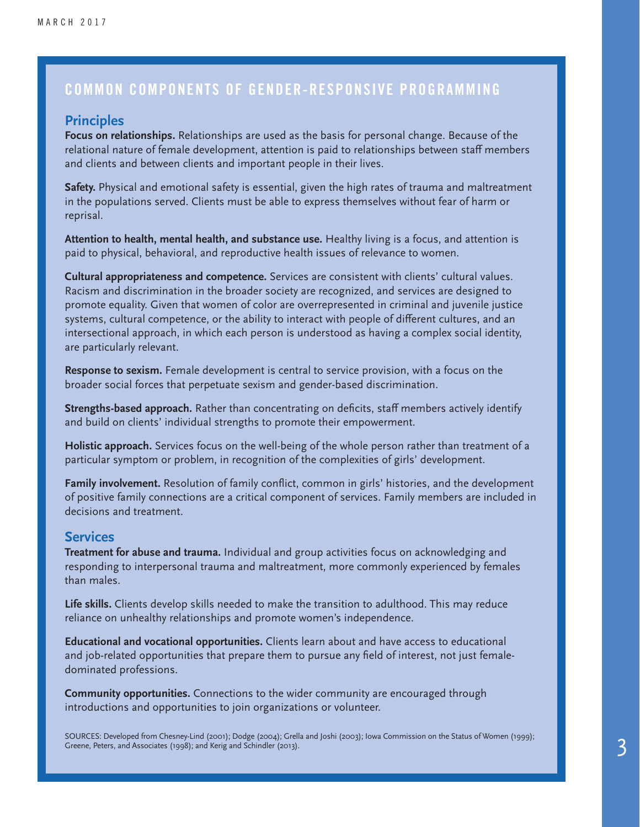### COMMON COMPONENTS OF GENDER-RESPONSIVE PROGRAMMING

#### **Principles**

**Focus on relationships.** Relationships are used as the basis for personal change. Because of the relational nature of female development, attention is paid to relationships between staff members and clients and between clients and important people in their lives.

**Safety.** Physical and emotional safety is essential, given the high rates of trauma and maltreatment in the populations served. Clients must be able to express themselves without fear of harm or reprisal.

**Attention to health, mental health, and substance use.** Healthy living is a focus, and attention is paid to physical, behavioral, and reproductive health issues of relevance to women.

**Cultural appropriateness and competence.** Services are consistent with clients' cultural values. Racism and discrimination in the broader society are recognized, and services are designed to promote equality. Given that women of color are overrepresented in criminal and juvenile justice systems, cultural competence, or the ability to interact with people of different cultures, and an intersectional approach, in which each person is understood as having a complex social identity, are particularly relevant.

**Response to sexism.** Female development is central to service provision, with a focus on the broader social forces that perpetuate sexism and gender-based discrimination.

**Strengths-based approach.** Rather than concentrating on deficits, staff members actively identify and build on clients' individual strengths to promote their empowerment.

**Holistic approach.** Services focus on the well-being of the whole person rather than treatment of a particular symptom or problem, in recognition of the complexities of girls' development.

**Family involvement.** Resolution of family conflict, common in girls' histories, and the development of positive family connections are a critical component of services. Family members are included in decisions and treatment.

#### **Services**

**Treatment for abuse and trauma.** Individual and group activities focus on acknowledging and responding to interpersonal trauma and maltreatment, more commonly experienced by females than males.

**Life skills.** Clients develop skills needed to make the transition to adulthood. This may reduce reliance on unhealthy relationships and promote women's independence.

**Educational and vocational opportunities.** Clients learn about and have access to educational and job-related opportunities that prepare them to pursue any field of interest, not just femaledominated professions.

**Community opportunities.** Connections to the wider community are encouraged through introductions and opportunities to join organizations or volunteer.

SOURCES: Developed from Chesney-Lind (2001); Dodge (2004); Grella and Joshi (2003); Iowa Commission on the Status of Women (1999); Greene, Peters, and Associates (1998); and Kerig and Schindler (2013).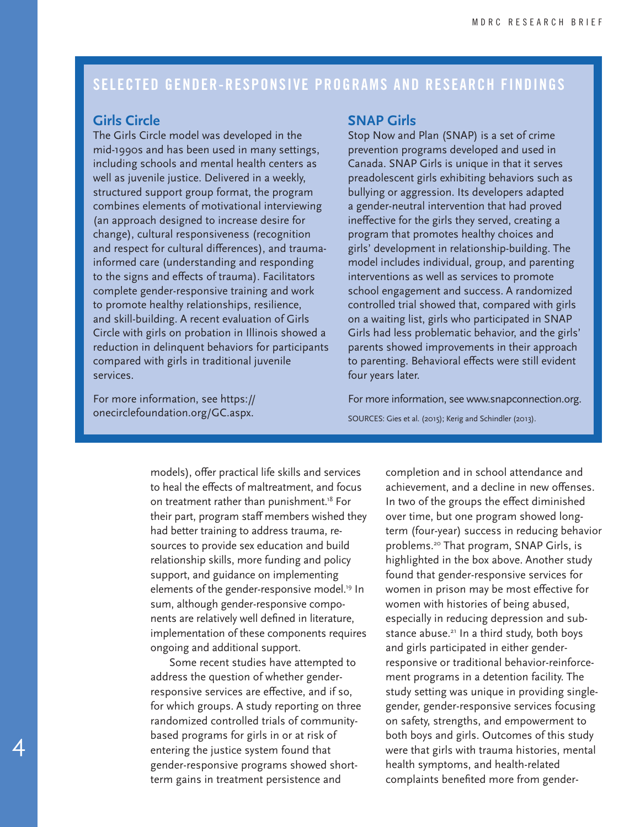## SELECTED GENDER-RESPONSIVE PROGRAMS AND RESEARCH FINDINGS

#### **Girls Circle**

The Girls Circle model was developed in the mid-1990s and has been used in many settings, including schools and mental health centers as well as juvenile justice. Delivered in a weekly, structured support group format, the program combines elements of motivational interviewing (an approach designed to increase desire for change), cultural responsiveness (recognition and respect for cultural differences), and traumainformed care (understanding and responding to the signs and effects of trauma). Facilitators complete gender-responsive training and work to promote healthy relationships, resilience, and skill-building. A recent evaluation of Girls Circle with girls on probation in Illinois showed a reduction in delinquent behaviors for participants compared with girls in traditional juvenile services.

For more information, see https:// onecirclefoundation.org/GC.aspx.

4

#### **SNAP Girls**

Stop Now and Plan (SNAP) is a set of crime prevention programs developed and used in Canada. SNAP Girls is unique in that it serves preadolescent girls exhibiting behaviors such as bullying or aggression. Its developers adapted a gender-neutral intervention that had proved ineffective for the girls they served, creating a program that promotes healthy choices and girls' development in relationship-building. The model includes individual, group, and parenting interventions as well as services to promote school engagement and success. A randomized controlled trial showed that, compared with girls on a waiting list, girls who participated in SNAP Girls had less problematic behavior, and the girls' parents showed improvements in their approach to parenting. Behavioral effects were still evident four years later.

For more information, see www.snapconnection.org. SOURCES: Gies et al. (2015); Kerig and Schindler (2013).

models), offer practical life skills and services to heal the effects of maltreatment, and focus on treatment rather than punishment.<sup>18</sup> For their part, program staff members wished they had better training to address trauma, resources to provide sex education and build relationship skills, more funding and policy support, and guidance on implementing elements of the gender-responsive model.<sup>19</sup> In sum, although gender-responsive components are relatively well defined in literature, implementation of these components requires ongoing and additional support.

Some recent studies have attempted to address the question of whether genderresponsive services are effective, and if so, for which groups. A study reporting on three randomized controlled trials of communitybased programs for girls in or at risk of entering the justice system found that gender-responsive programs showed shortterm gains in treatment persistence and

completion and in school attendance and achievement, and a decline in new offenses. In two of the groups the effect diminished over time, but one program showed longterm (four-year) success in reducing behavior problems.20 That program, SNAP Girls, is highlighted in the box above. Another study found that gender-responsive services for women in prison may be most effective for women with histories of being abused, especially in reducing depression and substance abuse.<sup>21</sup> In a third study, both boys and girls participated in either genderresponsive or traditional behavior-reinforcement programs in a detention facility. The study setting was unique in providing singlegender, gender-responsive services focusing on safety, strengths, and empowerment to both boys and girls. Outcomes of this study were that girls with trauma histories, mental health symptoms, and health-related complaints benefited more from gender-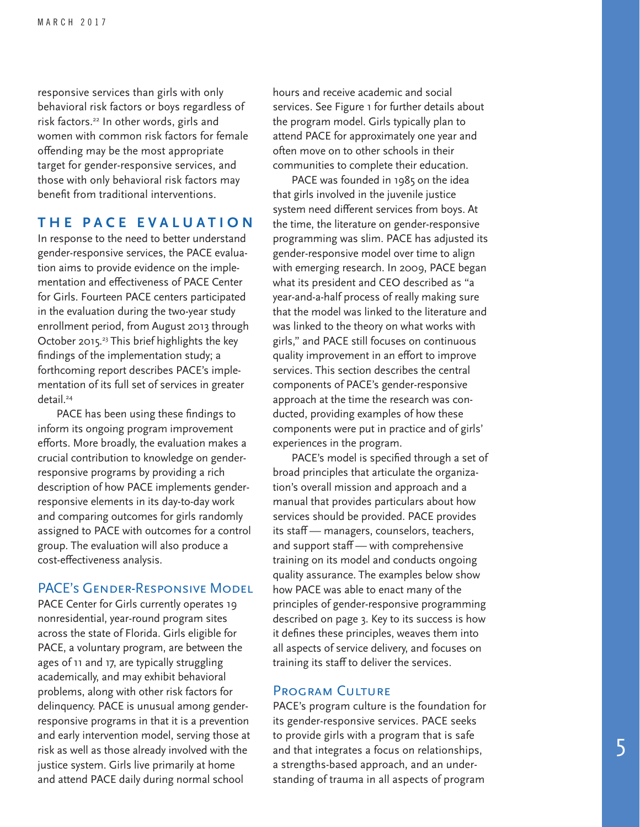responsive services than girls with only behavioral risk factors or boys regardless of risk factors.<sup>22</sup> In other words, girls and women with common risk factors for female offending may be the most appropriate target for gender-responsive services, and those with only behavioral risk factors may benefit from traditional interventions.

#### **THE PACE EVALUATION**

In response to the need to better understand gender-responsive services, the PACE evaluation aims to provide evidence on the implementation and effectiveness of PACE Center for Girls. Fourteen PACE centers participated in the evaluation during the two-year study enrollment period, from August 2013 through October 2015.23 This brief highlights the key findings of the implementation study; a forthcoming report describes PACE's implementation of its full set of services in greater detail.<sup>24</sup>

PACE has been using these findings to inform its ongoing program improvement efforts. More broadly, the evaluation makes a crucial contribution to knowledge on genderresponsive programs by providing a rich description of how PACE implements genderresponsive elements in its day-to-day work and comparing outcomes for girls randomly assigned to PACE with outcomes for a control group. The evaluation will also produce a cost-effectiveness analysis.

#### PACE's Gender-Responsive Model

PACE Center for Girls currently operates 19 nonresidential, year-round program sites across the state of Florida. Girls eligible for PACE, a voluntary program, are between the ages of 11 and 17, are typically struggling academically, and may exhibit behavioral problems, along with other risk factors for delinquency. PACE is unusual among genderresponsive programs in that it is a prevention and early intervention model, serving those at risk as well as those already involved with the justice system. Girls live primarily at home and attend PACE daily during normal school

hours and receive academic and social services. See Figure 1 for further details about the program model. Girls typically plan to attend PACE for approximately one year and often move on to other schools in their communities to complete their education.

PACE was founded in 1985 on the idea that girls involved in the juvenile justice system need different services from boys. At the time, the literature on gender-responsive programming was slim. PACE has adjusted its gender-responsive model over time to align with emerging research. In 2009, PACE began what its president and CEO described as "a year-and-a-half process of really making sure that the model was linked to the literature and was linked to the theory on what works with girls," and PACE still focuses on continuous quality improvement in an effort to improve services. This section describes the central components of PACE's gender-responsive approach at the time the research was conducted, providing examples of how these components were put in practice and of girls' experiences in the program.

PACE's model is specified through a set of broad principles that articulate the organization's overall mission and approach and a manual that provides particulars about how services should be provided. PACE provides its staff — managers, counselors, teachers, and support staff — with comprehensive training on its model and conducts ongoing quality assurance. The examples below show how PACE was able to enact many of the principles of gender-responsive programming described on page 3. Key to its success is how it defines these principles, weaves them into all aspects of service delivery, and focuses on training its staff to deliver the services.

#### Program Culture

PACE's program culture is the foundation for its gender-responsive services. PACE seeks to provide girls with a program that is safe and that integrates a focus on relationships, a strengths-based approach, and an understanding of trauma in all aspects of program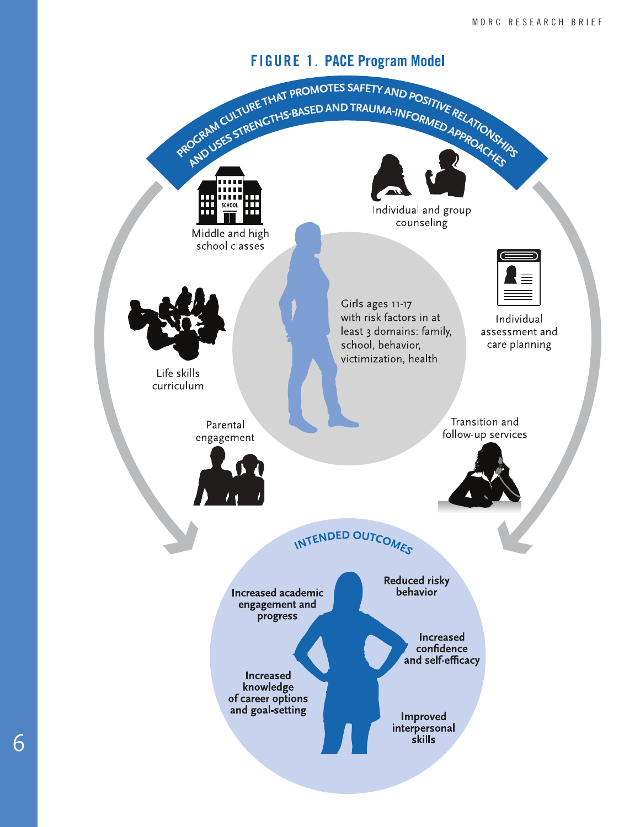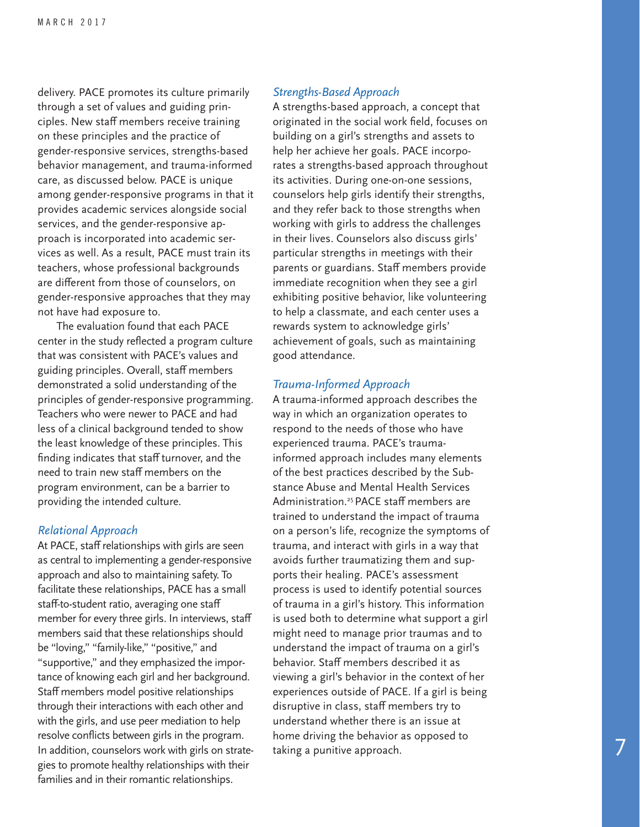delivery. PACE promotes its culture primarily through a set of values and guiding principles. New staff members receive training on these principles and the practice of gender-responsive services, strengths-based behavior management, and trauma-informed care, as discussed below. PACE is unique among gender-responsive programs in that it provides academic services alongside social services, and the gender-responsive approach is incorporated into academic services as well. As a result, PACE must train its teachers, whose professional backgrounds are different from those of counselors, on gender-responsive approaches that they may not have had exposure to.

The evaluation found that each PACE center in the study reflected a program culture that was consistent with PACE's values and guiding principles. Overall, staff members demonstrated a solid understanding of the principles of gender-responsive programming. Teachers who were newer to PACE and had less of a clinical background tended to show the least knowledge of these principles. This finding indicates that staff turnover, and the need to train new staff members on the program environment, can be a barrier to providing the intended culture.

#### *Relational Approach*

At PACE, staff relationships with girls are seen as central to implementing a gender-responsive approach and also to maintaining safety. To facilitate these relationships, PACE has a small staff-to-student ratio, averaging one staff member for every three girls. In interviews, staff members said that these relationships should be "loving," "family-like," "positive," and "supportive," and they emphasized the importance of knowing each girl and her background. Staff members model positive relationships through their interactions with each other and with the girls, and use peer mediation to help resolve conflicts between girls in the program. In addition, counselors work with girls on strategies to promote healthy relationships with their families and in their romantic relationships.

#### *Strengths-Based Approach*

A strengths-based approach, a concept that originated in the social work field, focuses on building on a girl's strengths and assets to help her achieve her goals. PACE incorporates a strengths-based approach throughout its activities. During one-on-one sessions, counselors help girls identify their strengths, and they refer back to those strengths when working with girls to address the challenges in their lives. Counselors also discuss girls' particular strengths in meetings with their parents or guardians. Staff members provide immediate recognition when they see a girl exhibiting positive behavior, like volunteering to help a classmate, and each center uses a rewards system to acknowledge girls' achievement of goals, such as maintaining good attendance.

#### *Trauma-Informed Approach*

A trauma-informed approach describes the way in which an organization operates to respond to the needs of those who have experienced trauma. PACE's traumainformed approach includes many elements of the best practices described by the Substance Abuse and Mental Health Services Administration.<sup>25</sup> PACE staff members are trained to understand the impact of trauma on a person's life, recognize the symptoms of trauma, and interact with girls in a way that avoids further traumatizing them and supports their healing. PACE's assessment process is used to identify potential sources of trauma in a girl's history. This information is used both to determine what support a girl might need to manage prior traumas and to understand the impact of trauma on a girl's behavior. Staff members described it as viewing a girl's behavior in the context of her experiences outside of PACE. If a girl is being disruptive in class, staff members try to understand whether there is an issue at home driving the behavior as opposed to taking a punitive approach.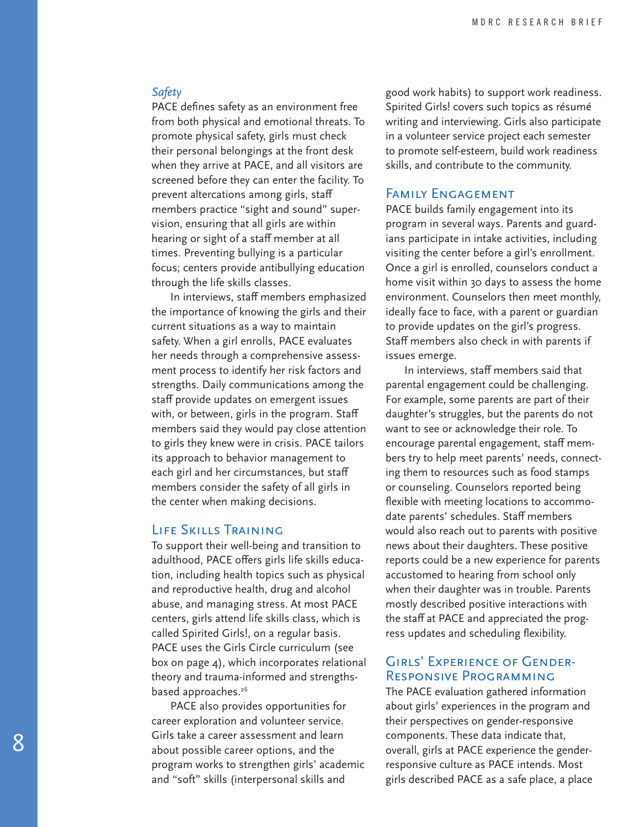#### *Safety*

PACE defines safety as an environment free from both physical and emotional threats. To promote physical safety, girls must check their personal belongings at the front desk when they arrive at PACE, and all visitors are screened before they can enter the facility. To prevent altercations among girls, staff members practice "sight and sound" supervision, ensuring that all girls are within hearing or sight of a staff member at all times. Preventing bullying is a particular focus; centers provide antibullying education through the life skills classes.

In interviews, staff members emphasized the importance of knowing the girls and their current situations as a way to maintain safety. When a girl enrolls, PACE evaluates her needs through a comprehensive assessment process to identify her risk factors and strengths. Daily communications among the staff provide updates on emergent issues with, or between, girls in the program. Staff members said they would pay close attention to girls they knew were in crisis. PACE tailors its approach to behavior management to each girl and her circumstances, but staff members consider the safety of all girls in the center when making decisions.

#### Life Skills Training

To support their well-being and transition to adulthood, PACE offers girls life skills education, including health topics such as physical and reproductive health, drug and alcohol abuse, and managing stress. At most PACE centers, girls attend life skills class, which is called Spirited Girls!, on a regular basis. PACE uses the Girls Circle curriculum (see box on page 4), which incorporates relational theory and trauma-informed and strengthsbased approaches.<sup>26</sup>

PACE also provides opportunities for career exploration and volunteer service. Girls take a career assessment and learn about possible career options, and the program works to strengthen girls' academic and "soft" skills (interpersonal skills and

good work habits) to support work readiness. Spirited Girls! covers such topics as résumé writing and interviewing. Girls also participate in a volunteer service project each semester to promote self-esteem, build work readiness skills, and contribute to the community.

#### Family Engagement

PACE builds family engagement into its program in several ways. Parents and guardians participate in intake activities, including visiting the center before a girl's enrollment. Once a girl is enrolled, counselors conduct a home visit within 30 days to assess the home environment. Counselors then meet monthly, ideally face to face, with a parent or guardian to provide updates on the girl's progress. Staff members also check in with parents if issues emerge.

In interviews, staff members said that parental engagement could be challenging. For example, some parents are part of their daughter's struggles, but the parents do not want to see or acknowledge their role. To encourage parental engagement, staff members try to help meet parents' needs, connecting them to resources such as food stamps or counseling. Counselors reported being flexible with meeting locations to accommodate parents' schedules. Staff members would also reach out to parents with positive news about their daughters. These positive reports could be a new experience for parents accustomed to hearing from school only when their daughter was in trouble. Parents mostly described positive interactions with the staff at PACE and appreciated the progress updates and scheduling flexibility.

#### Girls' Experience of Gender-Responsive Programming

The PACE evaluation gathered information about girls' experiences in the program and their perspectives on gender-responsive components. These data indicate that, overall, girls at PACE experience the genderresponsive culture as PACE intends. Most girls described PACE as a safe place, a place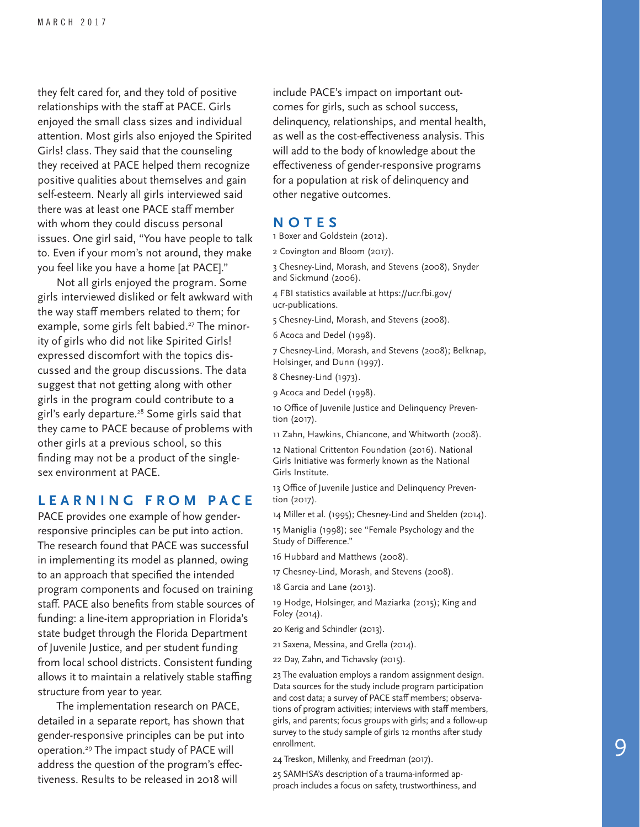they felt cared for, and they told of positive relationships with the staff at PACE. Girls enjoyed the small class sizes and individual attention. Most girls also enjoyed the Spirited Girls! class. They said that the counseling they received at PACE helped them recognize positive qualities about themselves and gain self-esteem. Nearly all girls interviewed said there was at least one PACE staff member with whom they could discuss personal issues. One girl said, "You have people to talk to. Even if your mom's not around, they make you feel like you have a home [at PACE]."

Not all girls enjoyed the program. Some girls interviewed disliked or felt awkward with the way staff members related to them; for example, some girls felt babied.<sup>27</sup> The minority of girls who did not like Spirited Girls! expressed discomfort with the topics dis cussed and the group discussions. The data suggest that not getting along with other girls in the program could contribute to a girl's early departure.<sup>28</sup> Some girls said that they came to PACE because of problems with other girls at a previous school, so this finding may not be a product of the singlesex environment at PACE.

#### **L E A R N I N G F R O M P A C E**

PACE provides one example of how genderresponsive principles can be put into action. The research found that PACE was successful in implementing its model as planned, owing to an approach that specified the intended program components and focused on training staff. PACE also benefits from stable sources of funding: a line-item appropriation in Florida's state budget through the Florida Department of Juvenile Justice, and per student funding from local school districts. Consistent funding allows it to maintain a relatively stable staffing structure from year to year.

The implementation research on PACE, detailed in a separate report, has shown that gender-responsive principles can be put into operation.29 The impact study of PACE will address the question of the program's effec tiveness. Results to be released in 2018 will

include PACE's impact on important out comes for girls, such as school success, delinquency, relationships, and mental health, as well as the cost-effectiveness analysis. This will add to the body of knowledge about the effectiveness of gender-responsive programs for a population at risk of delinquency and other negative outcomes.

#### **NOTES**

1 Boxer and Goldstein (2012).

2 Covington and Bloom (2017).

3 Chesney-Lind, Morash, and Stevens (2008), Snyder and Sickmund (2006).

4 FBI statistics available at https://ucr.fbi.gov/ ucr-publications.

5 Chesney-Lind, Morash, and Stevens (2008).

6 Acoca and Dedel (1998).

7 Chesney-Lind, Morash, and Stevens (2008); Belknap, Holsinger, and Dunn (1997).

8 Chesney-Lind (1973).

9 Acoca and Dedel (1998).

10 Office of Juvenile Justice and Delinquency Preven tion (2017).

11 Zahn, Hawkins, Chiancone, and Whitworth (2008).

12 National Crittenton Foundation (2016). National Girls Initiative was formerly known as the National Girls Institute.

13 Office of Juvenile Justice and Delinquency Preven tion (2017).

14 Miller et al. (1995); Chesney-Lind and Shelden (2014). 15 Maniglia (1998); see "Female Psychology and the Study of Difference."

16 Hubbard and Matthews (2008).

17 Chesney-Lind, Morash, and Stevens (2008).

18 Garcia and Lane (2013).

19 Hodge, Holsinger, and Maziarka (2015); King and Foley (2014).

20 Kerig and Schindler (2013).

21 Saxena, Messina, and Grella (2014).

22 Day, Zahn, and Tichavsky (2015).

23 The evaluation employs a random assignment design. Data sources for the study include program participation and cost data; a survey of PACE staff members; observa tions of program activities; interviews with staff members, girls, and parents; focus groups with girls; and a follow-up survey to the study sample of girls 12 months after study enrollment.

24 Treskon, Millenky, and Freedman (2017).

25 SAMHSA's description of a trauma-informed ap proach includes a focus on safety, trustworthiness, and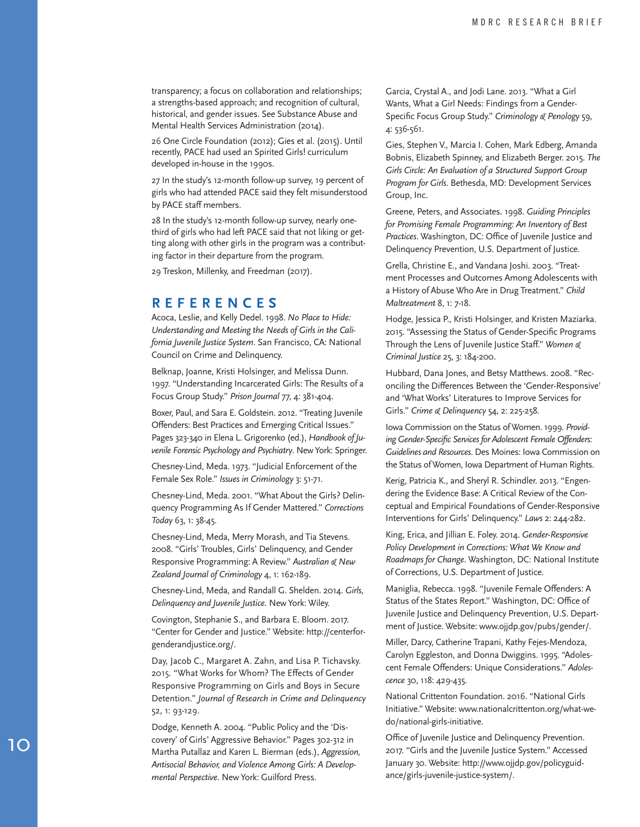transparency; a focus on collaboration and relationships; a strengths-based approach; and recognition of cultural, historical, and gender issues. See Substance Abuse and Mental Health Services Administration (2014).

26 One Circle Foundation (2012); Gies et al. (2015). Until recently, PACE had used an Spirited Girls! curriculum developed in-house in the 1990s.

27 In the study's 12-month follow-up survey, 19 percent of girls who had attended PACE said they felt misunderstood by PACE staff members.

28 In the study's 12-month follow-up survey, nearly onethird of girls who had left PACE said that not liking or get ting along with other girls in the program was a contribut ing factor in their departure from the program.

29 Treskon, Millenky, and Freedman (2017).

#### **REFERENCES**

Acoca, Leslie, and Kelly Dedel. 1998. *No Place to Hide: Understanding and Meeting the Needs of Girls in the Cali fornia Juvenile Justice System*. San Francisco, CA: National Council on Crime and Delinquency.

Belknap, Joanne, Kristi Holsinger, and Melissa Dunn. 1997. "Understanding Incarcerated Girls: The Results of a Focus Group Study." *Prison Journal* 77, 4: 381-404.

Boxer, Paul, and Sara E. Goldstein. 2012. "Treating Juvenile Offenders: Best Practices and Emerging Critical Issues." Pages 323-340 in Elena L. Grigorenko (ed.), *Handbook of Ju venile Forensic Psychology and Psychiatry*. New York: Springer.

Chesney-Lind, Meda. 1973. "Judicial Enforcement of the Female Sex Role." *Issues in Criminology* 3: 51-71.

Chesney-Lind, Meda. 2001. "What About the Girls? Delin quency Programming As If Gender Mattered." *Corrections Today* 63, 1: 38-45.

Chesney-Lind, Meda, Merry Morash, and Tia Stevens. 2008. "Girls' Troubles, Girls' Delinquency, and Gender Responsive Programming: A Review." *Australian & New Zealand Journal of Criminology* 4, 1: 162-189.

Chesney-Lind, Meda, and Randall G. Shelden. 2014. *Girls, Delinquency and Juvenile Justice.* New York: Wiley.

Covington, Stephanie S., and Barbara E. Bloom. 2017. "Center for Gender and Justice." Website: http://centerfor genderandjustice.org/.

Day, Jacob C., Margaret A. Zahn, and Lisa P. Tichavsky. 2015. "What Works for Whom? The Effects of Gender Responsive Programming on Girls and Boys in Secure Detention." *Journal of Research in Crime and Delinquency* 52, 1: 93-129.

Dodge, Kenneth A. 2004. "Public Policy and the 'Dis covery' of Girls' Aggressive Behavior." Pages 302-312 in Martha Putallaz and Karen L. Bierman (eds.), *Aggression, Antisocial Behavior, and Violence Among Girls: A Develop mental Perspective*. New York: Guilford Press.

Garcia, Crystal A., and Jodi Lane. 2013. "What a Girl Wants, What a Girl Needs: Findings from a Gender-Specific Focus Group Study." *Criminology & Penology* 59, 4: 536-561.

Gies, Stephen V., Marcia I. Cohen, Mark Edberg, Amanda Bobnis, Elizabeth Spinney, and Elizabeth Berger. 2015. *The Girls Circle: An Evaluation of a Structured Support Group Program for Girls*. Bethesda, MD: Development Services Group, Inc.

Greene, Peters, and Associates. 1998. *Guiding Principles for Promising Female Programming: An Inventory of Best Practices*. Washington, DC: Office of Juvenile Justice and Delinquency Prevention, U.S. Department of Justice.

Grella, Christine E., and Vandana Joshi. 2003. "Treat ment Processes and Outcomes Among Adolescents with a History of Abuse Who Are in Drug Treatment." *Child Maltreatment* 8, 1: 7-18.

Hodge, Jessica P., Kristi Holsinger, and Kristen Maziarka. 2015. "Assessing the Status of Gender-Specific Programs Through the Lens of Juvenile Justice Staff." *Women & Criminal Justice* 25, 3: 184-200.

Hubbard, Dana Jones, and Betsy Matthews. 2008. "Rec onciling the Differences Between the 'Gender-Responsive' and 'What Works' Literatures to Improve Services for Girls." *Crime & Delinquency* 54, 2: 225-258.

Iowa Commission on the Status of Women. 1999. *Providing Gender-Specific Services for Adolescent Female Offenders: Guidelines and Resources*. Des Moines: Iowa Commission on the Status of Women, Iowa Department of Human Rights.

Kerig, Patricia K., and Sheryl R. Schindler. 2013. "Engen dering the Evidence Base: A Critical Review of the Con ceptual and Empirical Foundations of Gender-Responsive Interventions for Girls' Delinquency." *Laws* 2: 244-282.

King, Erica, and Jillian E. Foley. 2014. *Gender-Responsive Policy Development in Corrections: What We Know and Roadmaps for Change*. Washington, DC: National Institute of Corrections, U.S. Department of Justice.

Maniglia, Rebecca. 1998. "Juvenile Female Offenders: A Status of the States Report." Washington, DC: Office of Juvenile Justice and Delinquency Prevention, U.S. Depart ment of Justice. Website: www.ojjdp.gov/pubs/gender/.

Miller, Darcy, Catherine Trapani, Kathy Fejes-Mendoza, Carolyn Eggleston, and Donna Dwiggins. 1995. "Adoles cent Female Offenders: Unique Considerations." *Adoles cence* 30, 118: 429-435.

National Crittenton Foundation. 2016. "National Girls Initiative." Website: www.nationalcrittenton.org/what-wedo/national-girls-initiative.

Office of Juvenile Justice and Delinquency Prevention. 2017. "Girls and the Juvenile Justice System." Accessed January 30. Website: http://www.ojjdp.gov/policyguid ance/girls-juvenile-justice-system/.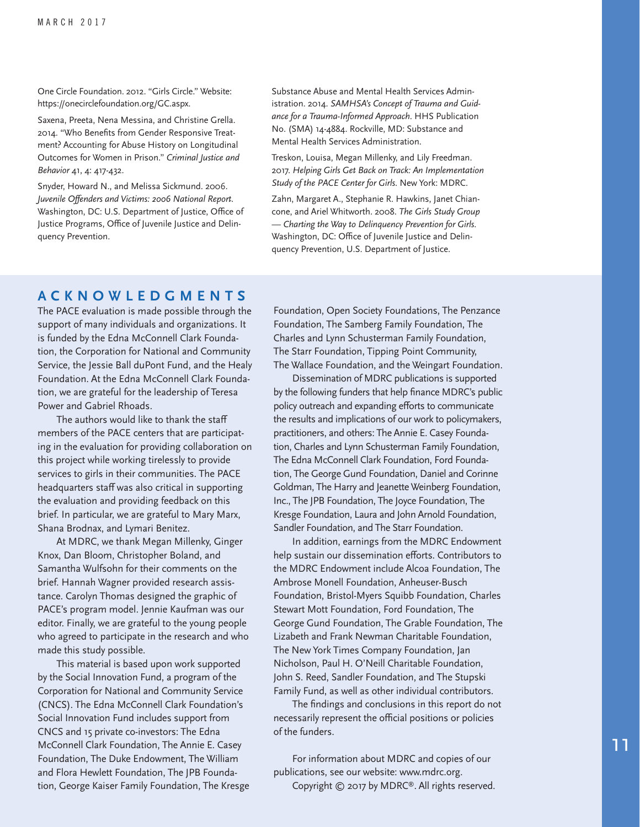One Circle Foundation. 2012. "Girls Circle." Website: https://onecirclefoundation.org/GC.aspx.

Saxena, Preeta, Nena Messina, and Christine Grella. 2014. "Who Benefits from Gender Responsive Treatment? Accounting for Abuse History on Longitudinal Outcomes for Women in Prison." *Criminal Justice and Behavior* 41, 4: 417-432.

Snyder, Howard N., and Melissa Sickmund. 2006. *Juvenile Offenders and Victims: 2006 National Report.* Washington, DC: U.S. Department of Justice, Office of Justice Programs, Office of Juvenile Justice and Delinquency Prevention.

Substance Abuse and Mental Health Services Administration. 2014. *SAMHSA's Concept of Trauma and Guidance for a Trauma-Informed Approach*. HHS Publication No. (SMA) 14-4884. Rockville, MD: Substance and Mental Health Services Administration.

Treskon, Louisa, Megan Millenky, and Lily Freedman. 2017. *Helping Girls Get Back on Track: An Implementation Study of the PACE Center for Girls*. New York: MDRC.

Zahn, Margaret A., Stephanie R. Hawkins, Janet Chiancone, and Ariel Whitworth. 2008. *The Girls Study Group — Charting the Way to Delinquency Prevention for Girls*. Washington, DC: Office of Juvenile Justice and Delinquency Prevention, U.S. Department of Justice.

#### **ACKNOWLEDGMENTS**

The PACE evaluation is made possible through the support of many individuals and organizations. It is funded by the Edna McConnell Clark Foundation, the Corporation for National and Community Service, the Jessie Ball duPont Fund, and the Healy Foundation. At the Edna McConnell Clark Foundation, we are grateful for the leadership of Teresa Power and Gabriel Rhoads.

The authors would like to thank the staff members of the PACE centers that are participating in the evaluation for providing collaboration on this project while working tirelessly to provide services to girls in their communities. The PACE headquarters staff was also critical in supporting the evaluation and providing feedback on this brief. In particular, we are grateful to Mary Marx, Shana Brodnax, and Lymari Benitez.

At MDRC, we thank Megan Millenky, Ginger Knox, Dan Bloom, Christopher Boland, and Samantha Wulfsohn for their comments on the brief. Hannah Wagner provided research assistance. Carolyn Thomas designed the graphic of PACE's program model. Jennie Kaufman was our editor. Finally, we are grateful to the young people who agreed to participate in the research and who made this study possible.

This material is based upon work supported by the Social Innovation Fund, a program of the Corporation for National and Community Service (CNCS). The Edna McConnell Clark Foundation's Social Innovation Fund includes support from CNCS and 15 private co-investors: The Edna McConnell Clark Foundation, The Annie E. Casey Foundation, The Duke Endowment, The William and Flora Hewlett Foundation, The JPB Foundation, George Kaiser Family Foundation, The Kresge Foundation, Open Society Foundations, The Penzance Foundation, The Samberg Family Foundation, The Charles and Lynn Schusterman Family Foundation, The Starr Foundation, Tipping Point Community, The Wallace Foundation, and the Weingart Foundation.

Dissemination of MDRC publications is supported by the following funders that help finance MDRC's public policy outreach and expanding efforts to communicate the results and implications of our work to policymakers, practitioners, and others: The Annie E. Casey Foundation, Charles and Lynn Schusterman Family Foundation, The Edna McConnell Clark Foundation, Ford Foundation, The George Gund Foundation, Daniel and Corinne Goldman, The Harry and Jeanette Weinberg Foundation, Inc., The JPB Foundation, The Joyce Foundation, The Kresge Foundation, Laura and John Arnold Foundation, Sandler Foundation, and The Starr Foundation.

In addition, earnings from the MDRC Endowment help sustain our dissemination efforts. Contributors to the MDRC Endowment include Alcoa Foundation, The Ambrose Monell Foundation, Anheuser-Busch Foundation, Bristol-Myers Squibb Foundation, Charles Stewart Mott Foundation, Ford Foundation, The George Gund Foundation, The Grable Foundation, The Lizabeth and Frank Newman Charitable Foundation, The New York Times Company Foundation, Jan Nicholson, Paul H. O'Neill Charitable Foundation, John S. Reed, Sandler Foundation, and The Stupski Family Fund, as well as other individual contributors.

The findings and conclusions in this report do not necessarily represent the official positions or policies of the funders.

For information about MDRC and copies of our publications, see our website: www.mdrc.org. Copyright © 2017 by MDRC®. All rights reserved.